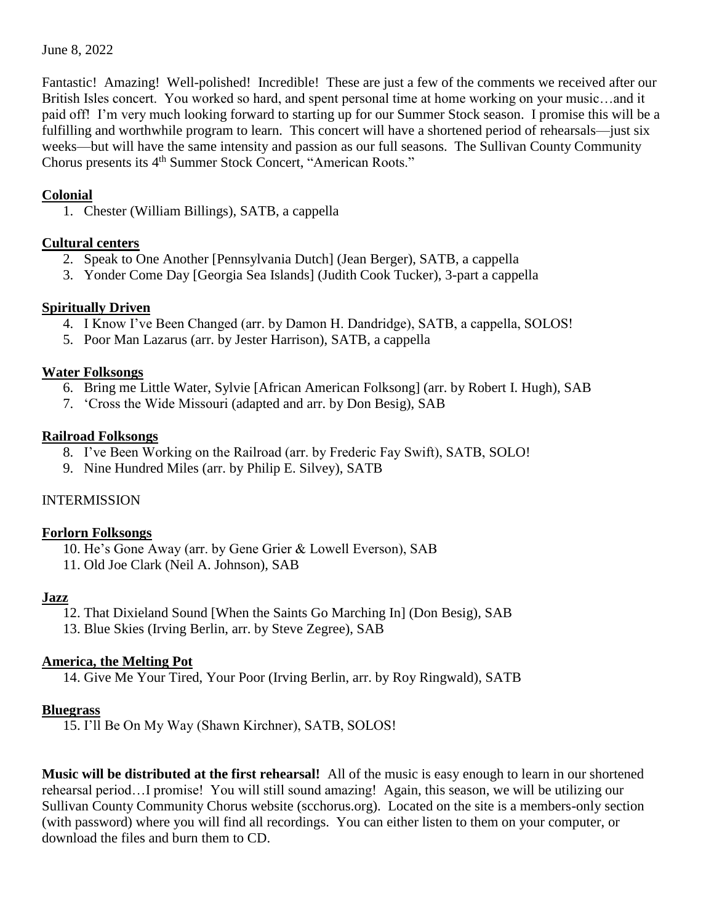#### June 8, 2022

Fantastic! Amazing! Well-polished! Incredible! These are just a few of the comments we received after our British Isles concert. You worked so hard, and spent personal time at home working on your music…and it paid off! I'm very much looking forward to starting up for our Summer Stock season. I promise this will be a fulfilling and worthwhile program to learn. This concert will have a shortened period of rehearsals—just six weeks—but will have the same intensity and passion as our full seasons. The Sullivan County Community Chorus presents its 4<sup>th</sup> Summer Stock Concert, "American Roots."

#### **Colonial**

1. Chester (William Billings), SATB, a cappella

## **Cultural centers**

- 2. Speak to One Another [Pennsylvania Dutch] (Jean Berger), SATB, a cappella
- 3. Yonder Come Day [Georgia Sea Islands] (Judith Cook Tucker), 3-part a cappella

## **Spiritually Driven**

- 4. I Know I've Been Changed (arr. by Damon H. Dandridge), SATB, a cappella, SOLOS!
- 5. Poor Man Lazarus (arr. by Jester Harrison), SATB, a cappella

#### **Water Folksongs**

- 6. Bring me Little Water, Sylvie [African American Folksong] (arr. by Robert I. Hugh), SAB
- 7. 'Cross the Wide Missouri (adapted and arr. by Don Besig), SAB

#### **Railroad Folksongs**

- 8. I've Been Working on the Railroad (arr. by Frederic Fay Swift), SATB, SOLO!
- 9. Nine Hundred Miles (arr. by Philip E. Silvey), SATB

## INTERMISSION

## **Forlorn Folksongs**

- 10. He's Gone Away (arr. by Gene Grier & Lowell Everson), SAB
- 11. Old Joe Clark (Neil A. Johnson), SAB

#### **Jazz**

- 12. That Dixieland Sound [When the Saints Go Marching In] (Don Besig), SAB
- 13. Blue Skies (Irving Berlin, arr. by Steve Zegree), SAB

## **America, the Melting Pot**

14. Give Me Your Tired, Your Poor (Irving Berlin, arr. by Roy Ringwald), SATB

## **Bluegrass**

15. I'll Be On My Way (Shawn Kirchner), SATB, SOLOS!

**Music will be distributed at the first rehearsal!** All of the music is easy enough to learn in our shortened rehearsal period…I promise! You will still sound amazing! Again, this season, we will be utilizing our Sullivan County Community Chorus website (scchorus.org). Located on the site is a members-only section (with password) where you will find all recordings. You can either listen to them on your computer, or download the files and burn them to CD.